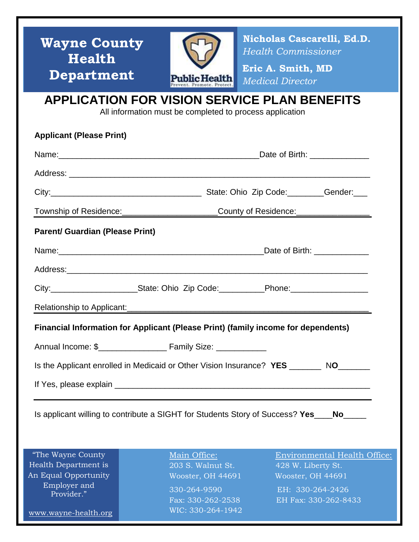| <b>Wayne County</b>  | Nicholas Cascarelli, Ed.D. |
|----------------------|----------------------------|
| Health               | <b>Health Commissioner</b> |
| <b>Department</b>    | Eric A. Smith, MD          |
| <b>Public Health</b> | <b>Medical Director</b>    |

### **APPLICATION FOR VISION SERVICE PLAN BENEFITS**

All information must be completed to process application

| <b>Applicant (Please Print)</b>                                                           |                                                                                                     |  |  |  |
|-------------------------------------------------------------------------------------------|-----------------------------------------------------------------------------------------------------|--|--|--|
|                                                                                           | Date of Birth: _____________                                                                        |  |  |  |
|                                                                                           |                                                                                                     |  |  |  |
|                                                                                           |                                                                                                     |  |  |  |
|                                                                                           | Township of Residence: ________________________County of Residence: ___________________             |  |  |  |
| <b>Parent/ Guardian (Please Print)</b>                                                    |                                                                                                     |  |  |  |
|                                                                                           | Date of Birth: <u>New York Base of Birth:</u>                                                       |  |  |  |
|                                                                                           |                                                                                                     |  |  |  |
|                                                                                           | City:___________________________State: Ohio Zip Code:____________Phone:____________________________ |  |  |  |
|                                                                                           |                                                                                                     |  |  |  |
| Financial Information for Applicant (Please Print) (family income for dependents)         |                                                                                                     |  |  |  |
|                                                                                           |                                                                                                     |  |  |  |
| Is the Applicant enrolled in Medicaid or Other Vision Insurance? YES _________ NO________ |                                                                                                     |  |  |  |
|                                                                                           |                                                                                                     |  |  |  |
|                                                                                           | Is applicant willing to contribute a SIGHT for Students Story of Success? Yes____No_____            |  |  |  |
| "The Wayne County                                                                         | Main Office:<br><b>Environmental Health Office:</b>                                                 |  |  |  |

Health Department is An Equal Opportunity Employer and Provider."

www.wayne-health.org

 203 S. Walnut St. 428 W. Liberty St. 330-264-9590 EH: 330-264-2426 WIC: 330-264-1942

Wooster, OH 44691 Wooster, OH 44691

Fax: 330-262-2538 EH Fax: 330-262-8433